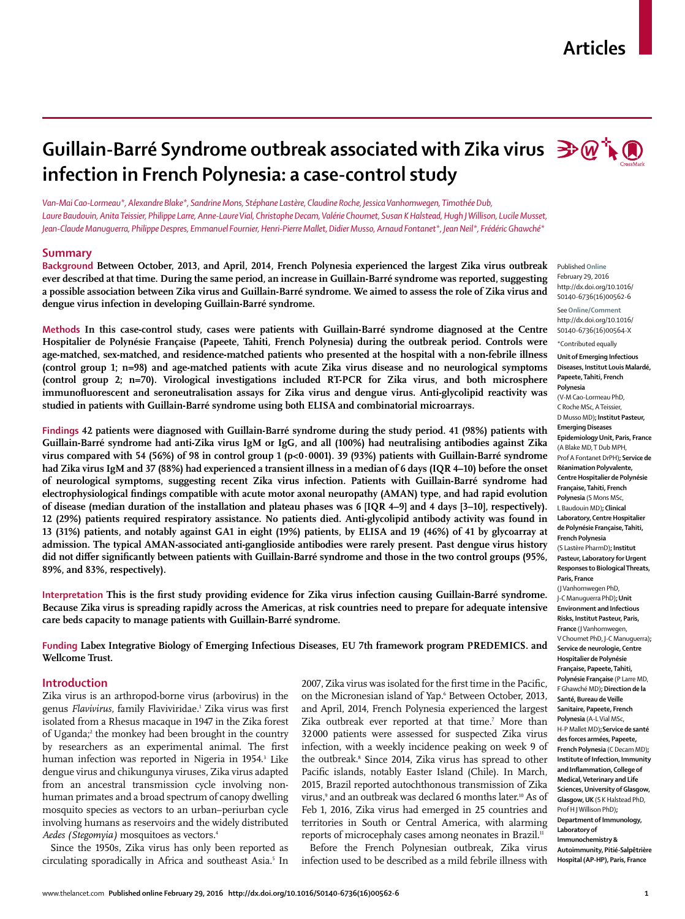# **Articles**



# **Guillain-Barré Syndrome outbreak associated with Zika virus**  $\mathbf{P}(\mathbf{W}^T)$ **infection in French Polynesia: a case-control study**

*Van-Mai Cao-Lormeau\*, Alexandre Blake\*, Sandrine Mons, Stéphane Lastère, Claudine Roche, Jessica Vanhomwegen, Timothée Dub, Laure Baudouin, Anita Teissier, Philippe Larre, Anne-Laure Vial, Christophe Decam, Valérie Choumet, Susan K Halstead, Hugh J Willison, Lucile Musset, Jean-Claude Manuguerra, Philippe Despres, Emmanuel Fournier, Henri-Pierre Mallet, Didier Musso, Arnaud Fontanet\*, Jean Neil\*, Frédéric Ghawché\**

# **Summary**

**Background Between October, 2013, and April, 2014, French Polynesia experienced the largest Zika virus outbreak ever described at that time. During the same period, an increase in Guillain-Barré syndrome was reported, suggesting a possible association between Zika virus and Guillain-Barré syndrome. We aimed to assess the role of Zika virus and dengue virus infection in developing Guillain-Barré syndrome.**

**Methods In this case-control study, cases were patients with Guillain-Barré syndrome diagnosed at the Centre Hospitalier de Polynésie Française (Papeete, Tahiti, French Polynesia) during the outbreak period. Controls were age-matched, sex-matched, and residence-matched patients who presented at the hospital with a non-febrile illness (control group 1; n=98) and age-matched patients with acute Zika virus disease and no neurological symptoms (control group 2; n=70). Virological investigations included RT-PCR for Zika virus, and both microsphere**  immunofluorescent and seroneutralisation assays for Zika virus and dengue virus. Anti-glycolipid reactivity was **studied in patients with Guillain-Barré syndrome using both ELISA and combinatorial microarrays.**

**Findings 42 patients were diagnosed with Guillain-Barré syndrome during the study period. 41 (98%) patients with Guillain-Barré syndrome had anti-Zika virus IgM or IgG, and all (100%) had neutralising antibodies against Zika virus compared with 54 (56%) of 98 in control group 1 (p<0·0001). 39 (93%) patients with Guillain-Barré syndrome had Zika virus IgM and 37 (88%) had experienced a transient illness in a median of 6 days (IQR 4–10) before the onset of neurological symptoms, suggesting recent Zika virus infection. Patients with Guillain-Barré syndrome had electrophysiological findings compatible with acute motor axonal neuropathy (AMAN) type, and had rapid evolution of disease (median duration of the installation and plateau phases was 6 [IQR 4–9] and 4 days [3–10], respectively). 12 (29%) patients required respiratory assistance. No patients died. Anti-glycolipid antibody activity was found in 13 (31%) patients, and notably against GA1 in eight (19%) patients, by ELISA and 19 (46%) of 41 by glycoarray at admission. The typical AMAN-associated anti-ganglioside antibodies were rarely present. Past dengue virus history**  did not differ significantly between patients with Guillain-Barré syndrome and those in the two control groups (95%, **89%, and 83%, respectively).**

Interpretation This is the first study providing evidence for Zika virus infection causing Guillain-Barré syndrome. **Because Zika virus is spreading rapidly across the Americas, at risk countries need to prepare for adequate intensive care beds capacity to manage patients with Guillain-Barré syndrome.**

**Funding Labex Integrative Biology of Emerging Infectious Diseases, EU 7th framework program PREDEMICS. and Wellcome Trust.**

# **Introduction**

Zika virus is an arthropod-borne virus (arbovirus) in the genus *Flavivirus,* family Flaviviridae.<sup>1</sup> Zika virus was first isolated from a Rhesus macaque in 1947 in the Zika forest of Uganda;<sup>2</sup> the monkey had been brought in the country by researchers as an experimental animal. The first human infection was reported in Nigeria in 1954.<sup>3</sup> Like dengue virus and chikungunya viruses, Zika virus adapted from an ancestral transmission cycle involving nonhuman primates and a broad spectrum of canopy dwelling mosquito species as vectors to an urban–periurban cycle involving humans as reservoirs and the widely distributed *Aedes (Stegomyia)* mosquitoes as vectors.4

Since the 1950s, Zika virus has only been reported as circulating sporadically in Africa and southeast Asia.5 In 2007. Zika virus was isolated for the first time in the Pacific. on the Micronesian island of Yap.6 Between October, 2013, and April, 2014, French Polynesia experienced the largest Zika outbreak ever reported at that time.<sup>7</sup> More than 32 000 patients were assessed for suspected Zika virus infection, with a weekly incidence peaking on week 9 of the outbreak.<sup>8</sup> Since 2014, Zika virus has spread to other Pacific islands, notably Easter Island (Chile). In March, 2015, Brazil reported autochthonous transmission of Zika virus,<sup>9</sup> and an outbreak was declared 6 months later.<sup>10</sup> As of Feb 1, 2016, Zika virus had emerged in 25 countries and territories in South or Central America, with alarming reports of microcephaly cases among neonates in Brazil.<sup>11</sup>

Before the French Polynesian outbreak, Zika virus infection used to be described as a mild febrile illness with Published **Online** February 29, 2016 http://dx.doi.org/10.1016/ S0140-6736(16)00562-6

See**Online/Comment** http://dx.doi.org/10.1016/ S0140-6736(16)00564-X

\*Contributed equally

**Unit of Emerging Infectious Diseases, Institut Louis Malardé, Papeete, Tahiti, French Polynesia** 

(V-M Cao-Lormeau PhD, C Roche MSc, A Teissier, D Musso MD)**; Institut Pasteur, Emerging Diseases Epidemiology Unit, Paris, France**  (A Blake MD, T Dub MPH, Prof A Fontanet DrPH)**; Service de Réanimation Polyvalente, Centre Hospitalier de Polynésie Française, Tahiti, French Polynesia** (S Mons MSc, L Baudouin MD)**; Clinical Laboratory, Centre Hospitalier de Polynésie Française, Tahiti, French Polynesia**  (S Lastère PharmD)**; Institut Pasteur, Laboratory for Urgent Responses to Biological Threats, Paris, France**  (J Vanhomwegen PhD, J-C Manuguerra PhD)**; Unit** 

**Environment and Infectious Risks, Institut Pasteur, Paris, France** (J Vanhomwegen, V Choumet PhD, J-C Manuguerra)**; Service de neurologie, Centre Hospitalier de Polynésie Française, Papeete, Tahiti, Polynésie Française** (P Larre MD, F Ghawché MD)**; Direction de la Santé, Bureau de Veille Sanitaire, Papeete, French Polynesia** (A-L Vial MSc, H-P Mallet MD)**;Service de santé des forces armées, Papeete, French Polynesia** (C Decam MD)**; Institute of Infection, Immunity and Inflammation, College of Medical, Veterinary and Life Sciences, University of Glasgow, Glasgow, UK** (S K Halstead PhD, Prof H J Willison PhD)**; Department of Immunology, Laboratory of** 

**Immunochemistry & Autoimmunity, Pitié-Salpêtrière Hospital (AP-HP), Paris, France**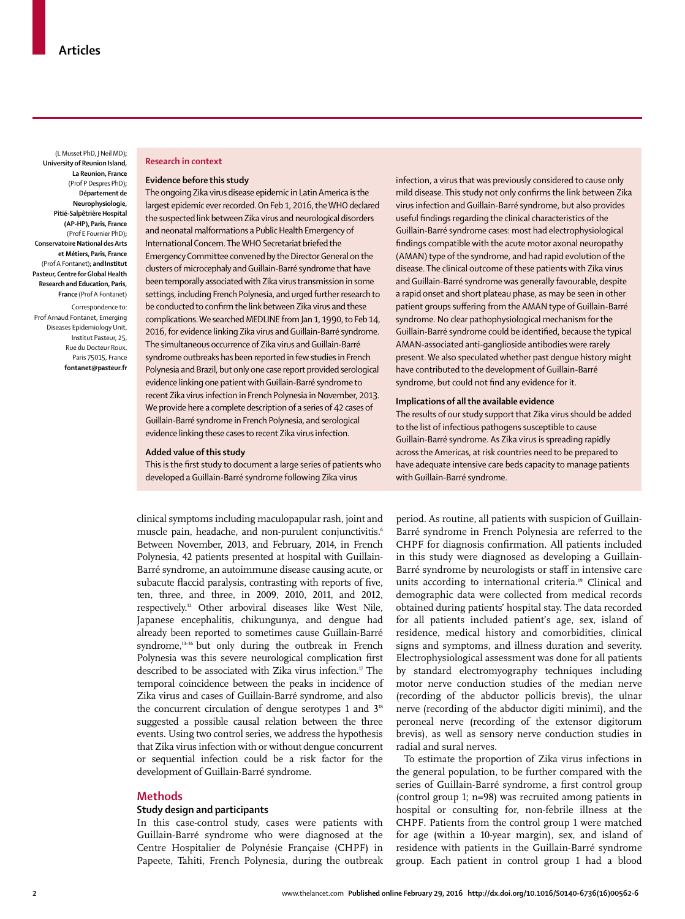(L Musset PhD, J Neil MD)**; University of Reunion Island, La Reunion, France**  (Prof P Despres PhD)**; Département de Neurophysiologie, Pitié-Salpêtrière Hospital (AP-HP), Paris, France**  (Prof E Fournier PhD)**; Conservatoire National des Arts et Métiers, Paris, France**  (Prof A Fontanet)**; andInstitut Pasteur, Centre for Global Health Research and Education, Paris, France** (Prof A Fontanet) Correspondence to: Prof Arnaud Fontanet, Emerging Diseases Epidemiology Unit, Institut Pasteur, 25, Rue du Docteur Roux,

> Paris 75015, France **fontanet@pasteur.fr**

## **Research in context**

## **Evidence before this study**

The ongoing Zika virus disease epidemic in Latin America is the largest epidemic ever recorded. On Feb 1, 2016, the WHO declared the suspected link between Zika virus and neurological disorders and neonatal malformations a Public Health Emergency of International Concern. The WHO Secretariat briefed the Emergency Committee convened by the Director General on the clusters of microcephaly and Guillain-Barré syndrome that have been temporally associated with Zika virus transmission in some settings, including French Polynesia, and urged further research to be conducted to confirm the link between Zika virus and these complications. We searched MEDLINE from Jan 1, 1990, to Feb 14, 2016, for evidence linking Zika virus and Guillain-Barré syndrome. The simultaneous occurrence of Zika virus and Guillain-Barré syndrome outbreaks has been reported in few studies in French Polynesia and Brazil, but only one case report provided serological evidence linking one patient with Guillain-Barré syndrome to recent Zika virus infection in French Polynesia in November, 2013. We provide here a complete description of a series of 42 cases of Guillain-Barré syndrome in French Polynesia, and serological evidence linking these cases to recent Zika virus infection.

## **Added value of this study**

This is the first study to document a large series of patients who developed a Guillain-Barré syndrome following Zika virus

clinical symptoms including maculopapular rash, joint and muscle pain, headache, and non-purulent conjunctivitis.<sup>6</sup> Between November, 2013, and February, 2014, in French Polynesia, 42 patients presented at hospital with Guillain-Barré syndrome, an autoimmune disease causing acute, or subacute flaccid paralysis, contrasting with reports of five, ten, three, and three, in 2009, 2010, 2011, and 2012, respectively.12 Other arboviral diseases like West Nile, Japanese encephalitis, chikungunya, and dengue had already been reported to sometimes cause Guillain-Barré syndrome,<sup>13-16</sup> but only during the outbreak in French Polynesia was this severe neurological complication first described to be associated with Zika virus infection.<sup>17</sup> The temporal coincidence between the peaks in incidence of Zika virus and cases of Guillain-Barré syndrome, and also the concurrent circulation of dengue serotypes 1 and 318 suggested a possible causal relation between the three events. Using two control series, we address the hypothesis that Zika virus infection with or without dengue concurrent or sequential infection could be a risk factor for the development of Guillain-Barré syndrome.

## **Methods**

# **Study design and participants**

In this case-control study, cases were patients with Guillain-Barré syndrome who were diagnosed at the Centre Hospitalier de Polynésie Française (CHPF) in Papeete, Tahiti, French Polynesia, during the outbreak

infection, a virus that was previously considered to cause only mild disease. This study not only confirms the link between Zika virus infection and Guillain-Barré syndrome, but also provides useful findings regarding the clinical characteristics of the Guillain-Barré syndrome cases: most had electrophysiological findings compatible with the acute motor axonal neuropathy (AMAN) type of the syndrome, and had rapid evolution of the disease. The clinical outcome of these patients with Zika virus and Guillain-Barré syndrome was generally favourable, despite a rapid onset and short plateau phase, as may be seen in other patient groups suffering from the AMAN type of Guillain-Barré syndrome. No clear pathophysiological mechanism for the Guillain-Barré syndrome could be identified, because the typical AMAN-associated anti-ganglioside antibodies were rarely present. We also speculated whether past dengue history might have contributed to the development of Guillain-Barré syndrome, but could not find any evidence for it.

### **Implications of all the available evidence**

The results of our study support that Zika virus should be added to the list of infectious pathogens susceptible to cause Guillain-Barré syndrome. As Zika virus is spreading rapidly across the Americas, at risk countries need to be prepared to have adequate intensive care beds capacity to manage patients with Guillain-Barré syndrome.

period. As routine, all patients with suspicion of Guillain-Barré syndrome in French Polynesia are referred to the CHPF for diagnosis confirmation. All patients included in this study were diagnosed as developing a Guillain-Barré syndrome by neurologists or staff in intensive care units according to international criteria.<sup>19</sup> Clinical and demographic data were collected from medical records obtained during patients' hospital stay. The data recorded for all patients included patient's age, sex, island of residence, medical history and comorbidities, clinical signs and symptoms, and illness duration and severity. Electrophysiological assessment was done for all patients by standard electromyography techniques including motor nerve conduction studies of the median nerve (recording of the abductor pollicis brevis), the ulnar nerve (recording of the abductor digiti minimi), and the peroneal nerve (recording of the extensor digitorum brevis), as well as sensory nerve conduction studies in radial and sural nerves.

To estimate the proportion of Zika virus infections in the general population, to be further compared with the series of Guillain-Barré syndrome, a first control group (control group 1; n=98) was recruited among patients in hospital or consulting for, non-febrile illness at the CHPF. Patients from the control group 1 were matched for age (within a 10-year margin), sex, and island of residence with patients in the Guillain-Barré syndrome group. Each patient in control group 1 had a blood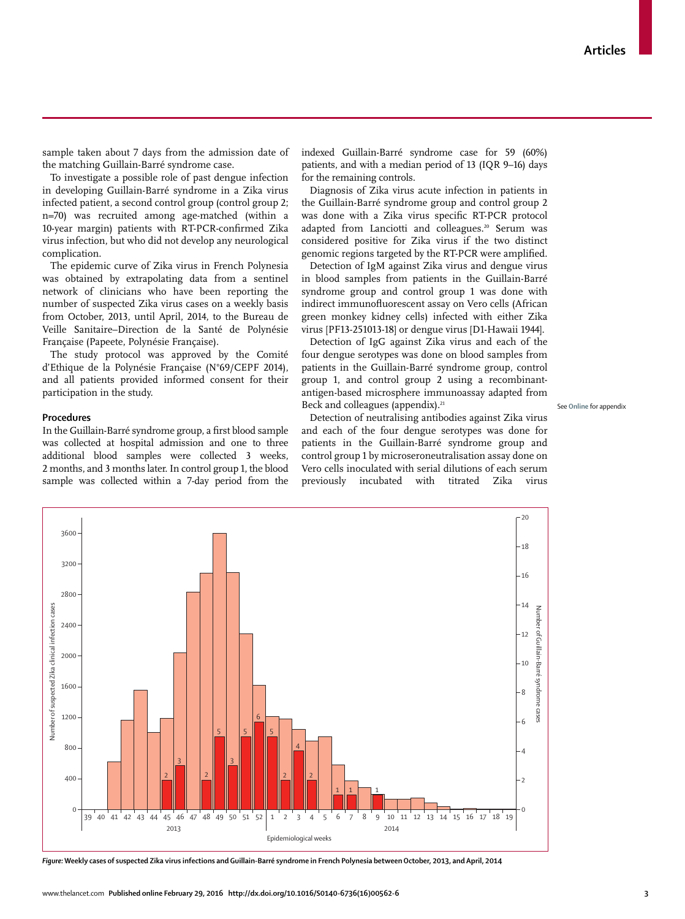sample taken about 7 days from the admission date of the matching Guillain-Barré syndrome case.

To investigate a possible role of past dengue infection in developing Guillain-Barré syndrome in a Zika virus infected patient, a second control group (control group 2; n=70) was recruited among age-matched (within a 10-year margin) patients with RT-PCR-confirmed Zika virus infection, but who did not develop any neurological complication.

The epidemic curve of Zika virus in French Polynesia was obtained by extrapolating data from a sentinel network of clinicians who have been reporting the number of suspected Zika virus cases on a weekly basis from October, 2013, until April, 2014, to the Bureau de Veille Sanitaire–Direction de la Santé de Polynésie Française (Papeete, Polynésie Française).

The study protocol was approved by the Comité d'Ethique de la Polynésie Française (N°69/CEPF 2014), and all patients provided informed consent for their participation in the study.

# **Procedures**

In the Guillain-Barré syndrome group, a first blood sample was collected at hospital admission and one to three additional blood samples were collected 3 weeks, 2 months, and 3 months later. In control group 1, the blood sample was collected within a 7-day period from the indexed Guillain-Barré syndrome case for 59 (60%) patients, and with a median period of 13 (IQR 9–16) days for the remaining controls.

Diagnosis of Zika virus acute infection in patients in the Guillain-Barré syndrome group and control group 2 was done with a Zika virus specific RT-PCR protocol adapted from Lanciotti and colleagues.<sup>20</sup> Serum was considered positive for Zika virus if the two distinct genomic regions targeted by the RT-PCR were amplified.

Detection of IgM against Zika virus and dengue virus in blood samples from patients in the Guillain-Barré syndrome group and control group 1 was done with indirect immunofluorescent assay on Vero cells (African green monkey kidney cells) infected with either Zika virus [PF13-251013-18] or dengue virus [D1-Hawaii 1944].

Detection of IgG against Zika virus and each of the four dengue serotypes was done on blood samples from patients in the Guillain-Barré syndrome group, control group 1, and control group 2 using a recombinantantigen-based microsphere immunoassay adapted from Beck and colleagues (appendix).<sup>21</sup>

Detection of neutralising antibodies against Zika virus and each of the four dengue serotypes was done for patients in the Guillain-Barré syndrome group and control group 1 by microseroneutralisation assay done on Vero cells inoculated with serial dilutions of each serum previously incubated with titrated Zika virus

*Figure:* **Weekly cases of suspected Zika virus infections and Guillain-Barré syndrome in French Polynesia between October, 2013, and April, 2014** 



See **Online** for appendix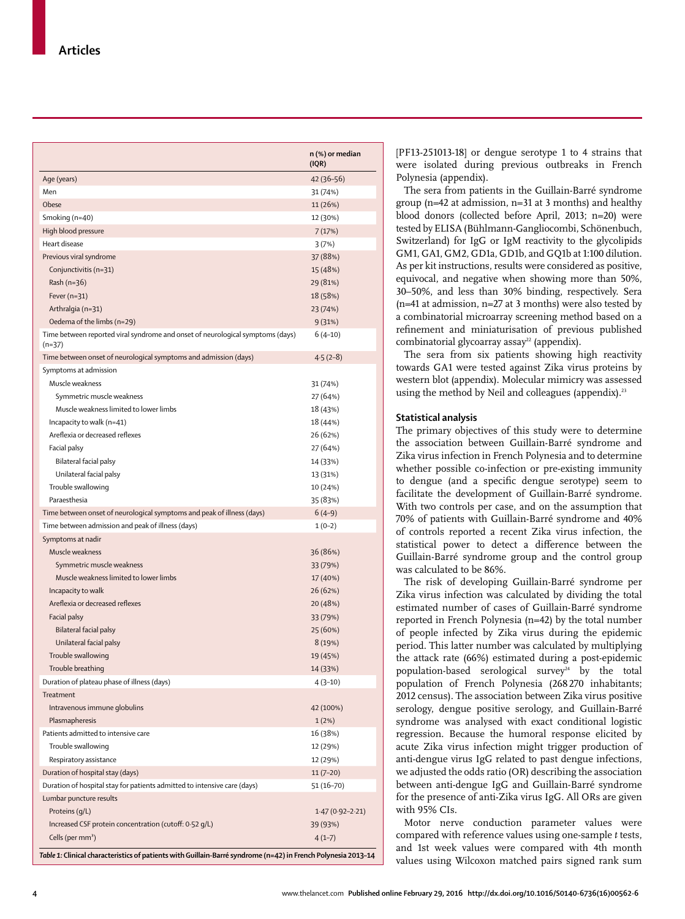|                                                                                            | n (%) or median<br>(IQR) |
|--------------------------------------------------------------------------------------------|--------------------------|
| Age (years)                                                                                | 42 (36-56)               |
| Men                                                                                        | 31 (74%)                 |
| Obese                                                                                      | 11 (26%)                 |
| Smoking (n=40)                                                                             | 12 (30%)                 |
| High blood pressure                                                                        | 7(17%)                   |
| Heart disease                                                                              | 3(7%)                    |
| Previous viral syndrome                                                                    | 37 (88%)                 |
| Conjunctivitis (n=31)                                                                      | 15 (48%)                 |
| Rash (n=36)                                                                                | 29 (81%)                 |
| Fever $(n=31)$                                                                             | 18 (58%)                 |
| Arthralgia (n=31)                                                                          | 23 (74%)                 |
| Oedema of the limbs (n=29)                                                                 | 9(31%)                   |
| Time between reported viral syndrome and onset of neurological symptoms (days)<br>$(n=37)$ | $6(4-10)$                |
| Time between onset of neurological symptoms and admission (days)                           | $4.5(2-8)$               |
| Symptoms at admission                                                                      |                          |
| Muscle weakness                                                                            | 31 (74%)                 |
| Symmetric muscle weakness                                                                  | 27 (64%)                 |
| Muscle weakness limited to lower limbs                                                     | 18 (43%)                 |
| Incapacity to walk (n=41)                                                                  | 18 (44%)                 |
| Areflexia or decreased reflexes                                                            | 26 (62%)                 |
| Facial palsy                                                                               | 27 (64%)                 |
| Bilateral facial palsy                                                                     | 14 (33%)                 |
| Unilateral facial palsy                                                                    | 13 (31%)                 |
| Trouble swallowing                                                                         | 10 (24%)                 |
| Paraesthesia                                                                               | 35 (83%)                 |
| Time between onset of neurological symptoms and peak of illness (days)                     | $6(4-9)$                 |
| Time between admission and peak of illness (days)                                          | $1(0-2)$                 |
| Symptoms at nadir                                                                          |                          |
| Muscle weakness                                                                            | 36 (86%)                 |
| Symmetric muscle weakness                                                                  | 33 (79%)                 |
| Muscle weakness limited to lower limbs                                                     | 17 (40%)                 |
| Incapacity to walk                                                                         | 26 (62%)                 |
| Areflexia or decreased reflexes                                                            | 20 (48%)                 |
| Facial palsy                                                                               | 33 (79%)                 |
| Bilateral facial palsy                                                                     | 25 (60%)                 |
| Unilateral facial palsy                                                                    | 8 (19%)                  |
| Trouble swallowing                                                                         | 19 (45%)                 |
| Trouble breathing                                                                          | 14 (33%)                 |
| Duration of plateau phase of illness (days)                                                | $4(3-10)$                |
| Treatment                                                                                  |                          |
| Intravenous immune globulins                                                               | 42 (100%)                |
| Plasmapheresis                                                                             | 1 (2%)                   |
| Patients admitted to intensive care                                                        | 16 (38%)                 |
| Trouble swallowing                                                                         | 12 (29%)                 |
| Respiratory assistance                                                                     | 12 (29%)                 |
| Duration of hospital stay (days)                                                           | $11(7-20)$               |
| Duration of hospital stay for patients admitted to intensive care (days)                   | 51 (16–70)               |
| Lumbar puncture results                                                                    |                          |
| Proteins (g/L)                                                                             | 1.47 (0.92–2.21)         |
| Increased CSF protein concentration (cutoff: 0.52 g/L)                                     | 39 (93%)                 |
| Cells (per mm <sup>3</sup> )                                                               | $4(1-7)$                 |

*Table 1:* **Clinical characteristics of patients with Guillain-Barré syndrome (n=42) in French Polynesia 2013–14** 

[PF13-251013-18] or dengue serotype 1 to 4 strains that were isolated during previous outbreaks in French Polynesia (appendix).

The sera from patients in the Guillain-Barré syndrome group (n=42 at admission, n=31 at 3 months) and healthy blood donors (collected before April, 2013; n=20) were tested by ELISA (Bühlmann-Gangliocombi, Schönenbuch, Switzerland) for IgG or IgM reactivity to the glycolipids GM1, GA1, GM2, GD1a, GD1b, and GQ1b at 1:100 dilution. As per kit instructions, results were considered as positive, equivocal, and negative when showing more than 50%, 30–50%, and less than 30% binding, respectively. Sera (n=41 at admission, n=27 at 3 months) were also tested by a combinatorial microarray screening method based on a refinement and miniaturisation of previous published combinatorial glycoarray assay<sup>22</sup> (appendix).

The sera from six patients showing high reactivity towards GA1 were tested against Zika virus proteins by western blot (appendix). Molecular mimicry was assessed using the method by Neil and colleagues (appendix).<sup>23</sup>

# **Statistical analysis**

The primary objectives of this study were to determine the association between Guillain-Barré syndrome and Zika virus infection in French Polynesia and to determine whether possible co-infection or pre-existing immunity to dengue (and a specific dengue serotype) seem to facilitate the development of Guillain-Barré syndrome. With two controls per case, and on the assumption that 70% of patients with Guillain-Barré syndrome and 40% of controls reported a recent Zika virus infection, the statistical power to detect a difference between the Guillain-Barré syndrome group and the control group was calculated to be 86%.

The risk of developing Guillain-Barré syndrome per Zika virus infection was calculated by dividing the total estimated number of cases of Guillain-Barré syndrome reported in French Polynesia (n=42) by the total number of people infected by Zika virus during the epidemic period. This latter number was calculated by multiplying the attack rate (66%) estimated during a post-epidemic population-based serological survey $24$  by the total population of French Polynesia (268 270 inhabitants; 2012 census). The association between Zika virus positive serology, dengue positive serology, and Guillain-Barré syndrome was analysed with exact conditional logistic regression. Because the humoral response elicited by acute Zika virus infection might trigger production of anti-dengue virus IgG related to past dengue infections, we adjusted the odds ratio (OR) describing the association between anti-dengue IgG and Guillain-Barré syndrome for the presence of anti-Zika virus IgG. All ORs are given with 95% CIs.

Motor nerve conduction parameter values were compared with reference values using one-sample *t* tests, and 1st week values were compared with 4th month values using Wilcoxon matched pairs signed rank sum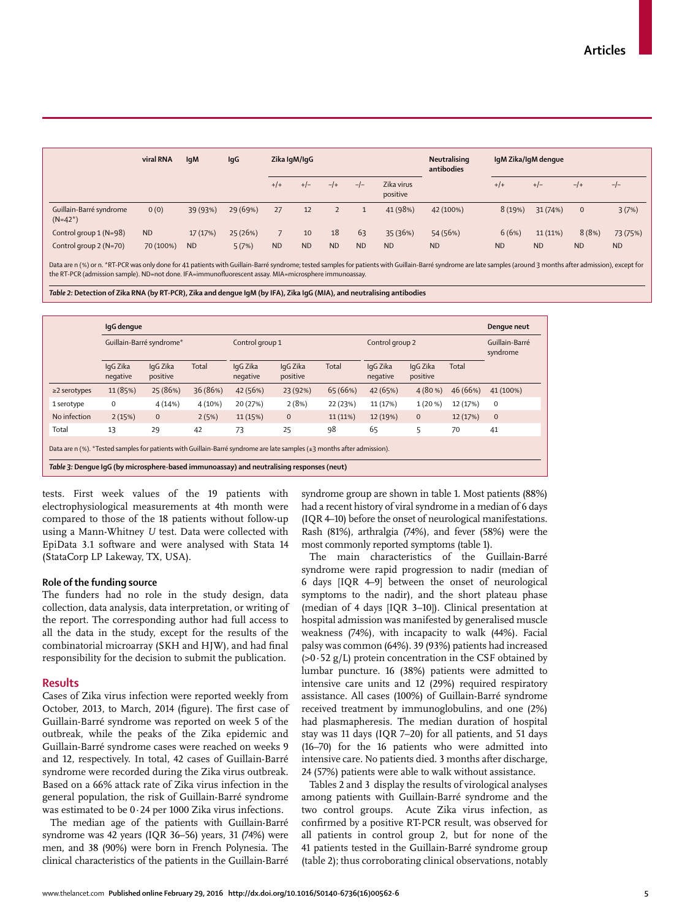|                                       | viral RNA | <b>IqM</b> | lgG      |           | Zika IqM/IqG |           |           |                        | Neutralising<br>antibodies |           | IqM Zika/IqM denque |              |           |
|---------------------------------------|-----------|------------|----------|-----------|--------------|-----------|-----------|------------------------|----------------------------|-----------|---------------------|--------------|-----------|
|                                       |           |            |          | $+$ /+    | $+/-$        |           | $-I-$     | Zika virus<br>positive |                            | $+/-$     | $+/-$               | $-1$         | $-/-$     |
| Guillain-Barré syndrome<br>$(N=42^*)$ | 0(0)      | 39 (93%)   | 29 (69%) | 27        | 12           |           |           | 41 (98%)               | 42 (100%)                  | 8(19%)    | 31 (74%)            | $\mathbf{0}$ | 3(7%)     |
| Control group 1 (N=98)                | <b>ND</b> | 17 (17%)   | 25(26%)  |           | 10           | 18        | 63        | 35 (36%)               | 54 (56%)                   | 6(6%)     | $11(11\%)$          | 8(8%)        | 73 (75%)  |
| Control group 2 (N=70)                | 70 (100%) | <b>ND</b>  | 5(7%)    | <b>ND</b> | <b>ND</b>    | <b>ND</b> | <b>ND</b> | <b>ND</b>              | <b>ND</b>                  | <b>ND</b> | <b>ND</b>           | <b>ND</b>    | <b>ND</b> |

Data are n (%) or n. \*RT-PCR was only done for 41 patients with Guillain-Barré syndrome; tested samples for patients with Guillain-Barré syndrome are late samples (around 3 months after admission), except for the RT-PCR (admission sample). ND=not done. IFA=immunofluorescent assay. MIA=microsphere immunoassay

*Table 2:* **Detection of Zika RNA (by RT-PCR), Zika and dengue IgM (by IFA), Zika IgG (MIA), and neutralising antibodies**

|                                                                                                                                                                                                                           | IgG dengue               |                      |          |                      |                      |          |                      |                      |          | Denque neut                |
|---------------------------------------------------------------------------------------------------------------------------------------------------------------------------------------------------------------------------|--------------------------|----------------------|----------|----------------------|----------------------|----------|----------------------|----------------------|----------|----------------------------|
|                                                                                                                                                                                                                           | Guillain-Barré syndrome* |                      |          | Control group 1      |                      |          | Control group 2      |                      |          | Guillain-Barré<br>syndrome |
|                                                                                                                                                                                                                           | IgG Zika<br>negative     | IgG Zika<br>positive | Total    | IgG Zika<br>negative | IgG Zika<br>positive | Total    | IgG Zika<br>negative | IgG Zika<br>positive | Total    |                            |
| $\geq$ 2 serotypes                                                                                                                                                                                                        | 11 (85%)                 | 25 (86%)             | 36 (86%) | 42 (56%)             | 23 (92%)             | 65 (66%) | 42 (65%)             | 4(80%)               | 46 (66%) | 41 (100%)                  |
| 1 serotype                                                                                                                                                                                                                | $\mathbf 0$              | 4(14%)               | 4(10%)   | 20 (27%)             | 2(8%)                | 22 (23%) | 11 (17%)             | 1(20%)               | 12 (17%) | $\mathbf 0$                |
| No infection                                                                                                                                                                                                              | 2(15%)                   | $\mathbf{0}$         | 2(5%)    | 11 (15%)             | $\mathbf{0}$         | 11(11%)  | 12 (19%)             | $\mathbf{0}$         | 12 (17%) | $\mathbf{0}$               |
| Total                                                                                                                                                                                                                     | 13                       | 29                   | 42       | 73                   | 25                   | 98       | 65                   | 5                    | 70       | 41                         |
| Data are n (%). *Tested samples for patients with Guillain-Barré syndrome are late samples ( $\pm$ 3 months after admission).<br>Table 3: Dengue IgG (by microsphere-based immunoassay) and neutralising responses (neut) |                          |                      |          |                      |                      |          |                      |                      |          |                            |

tests. First week values of the 19 patients with electrophysiological measurements at 4th month were compared to those of the 18 patients without follow-up using a Mann-Whitney *U* test. Data were collected with EpiData 3.1 software and were analysed with Stata 14 (StataCorp LP Lakeway, TX, USA).

# **Role of the funding source**

The funders had no role in the study design, data collection, data analysis, data interpretation, or writing of the report. The corresponding author had full access to all the data in the study, except for the results of the combinatorial microarray (SKH and HJW), and had final responsibility for the decision to submit the publication.

## **Results**

Cases of Zika virus infection were reported weekly from October, 2013, to March, 2014 (figure). The first case of Guillain-Barré syndrome was reported on week 5 of the outbreak, while the peaks of the Zika epidemic and Guillain-Barré syndrome cases were reached on weeks 9 and 12, respectively. In total, 42 cases of Guillain-Barré syndrome were recorded during the Zika virus outbreak. Based on a 66% attack rate of Zika virus infection in the general population, the risk of Guillain-Barré syndrome was estimated to be 0·24 per 1000 Zika virus infections.

The median age of the patients with Guillain-Barré syndrome was 42 years (IQR 36–56) years, 31 (74%) were men, and 38 (90%) were born in French Polynesia. The clinical characteristics of the patients in the Guillain-Barré syndrome group are shown in table 1. Most patients (88%) had a recent history of viral syndrome in a median of 6 days (IQR 4–10) before the onset of neurological manifestations. Rash (81%), arthralgia (74%), and fever (58%) were the most commonly reported symptoms (table 1).

The main characteristics of the Guillain-Barré syndrome were rapid progression to nadir (median of 6 days [IQR 4–9] between the onset of neurological symptoms to the nadir), and the short plateau phase (median of 4 days [IQR 3–10]). Clinical presentation at hospital admission was manifested by generalised muscle weakness (74%), with incapacity to walk (44%). Facial palsy was common (64%). 39 (93%) patients had increased  $(>0.52 \text{ g/L})$  protein concentration in the CSF obtained by lumbar puncture. 16 (38%) patients were admitted to intensive care units and 12 (29%) required respiratory assistance. All cases (100%) of Guillain-Barré syndrome received treatment by immunoglobulins, and one (2%) had plasmapheresis. The median duration of hospital stay was 11 days (IQR 7–20) for all patients, and 51 days (16–70) for the 16 patients who were admitted into intensive care. No patients died. 3 months after discharge, 24 (57%) patients were able to walk without assistance.

Tables 2 and 3 display the results of virological analyses among patients with Guillain-Barré syndrome and the two control groups. Acute Zika virus infection, as confirmed by a positive RT-PCR result, was observed for all patients in control group 2, but for none of the 41 patients tested in the Guillain-Barré syndrome group (table 2); thus corroborating clinical observations, notably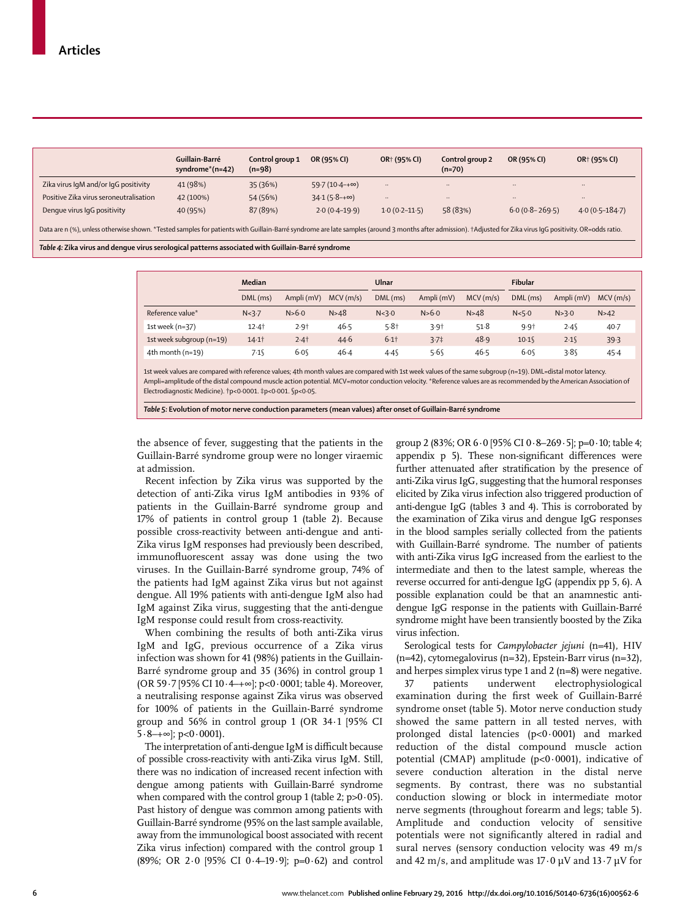|                                        | Guillain-Barré<br>syndrome $*(n=42)$ | Control group 1<br>$(n=98)$ | OR (95% CI)            | OR† (95% CI)      | Control group 2<br>$(n=70)$ | OR (95% CI)        | OR† (95% CI)     |
|----------------------------------------|--------------------------------------|-----------------------------|------------------------|-------------------|-----------------------------|--------------------|------------------|
| Zika virus IqM and/or IqG positivity   | 41 (98%)                             | 35 (36%)                    | $59.7(10.4 - +\infty)$ | $\cdot$           | $\cdot$                     | $\cdot$            | $\cdot$          |
| Positive Zika virus seroneutralisation | 42 (100%)                            | 54 (56%)                    | $34.1(5.8-\infty)$     | $\ddotsc$         | $\cdot$                     | $\cdot$            | $\cdot$          |
| Denque virus IqG positivity            | 40 (95%)                             | 87 (89%)                    | $2.0(0.4-19.9)$        | $1.0(0.2 - 11.5)$ | 58 (83%)                    | $6.0(0.8 - 269.5)$ | $4.0(0.5-184.7)$ |

Data are n (%), unless otherwise shown. \*Tested samples for patients with Guillain-Barré syndrome are late samples (around 3 months after admission). †Adjusted for Zika virus IgG positivity. OR=odds ratio.

*Table 4:* **Zika virus and dengue virus serological patterns associated with Guillain-Barré syndrome**

|                          | Median              |                  |             | Ulnar              |                  |             | Fibular          |            |             |
|--------------------------|---------------------|------------------|-------------|--------------------|------------------|-------------|------------------|------------|-------------|
|                          | DML(ms)             | Ampli (mV)       | $MCV$ (m/s) | DML(ms)            | Ampli (mV)       | $MCV$ (m/s) | $DML$ (ms)       | Ampli (mV) | $MCV$ (m/s) |
| Reference value*         | N < 3.7             | N > 6.0          | N > 48      | N < 3.0            | N > 6.0          | N > 48      | N < 5.0          | N > 3.0    | N>42        |
| 1st week (n=37)          | $12.4$ <sup>+</sup> | 2.9 <sub>†</sub> | 46.5        | 5.8 <sub>†</sub>   | $3.9+$           | 51.8        | 9.9 <sub>†</sub> | 2.4        | $40 - 7$    |
| 1st week subgroup (n=19) | 14.1                | $2.4$ †          | 44.6        | $6.1$ <sup>+</sup> | 3.7 <sup>†</sup> | 48.9        | 10.1             | 2.1        | 39.3        |
| 4th month $(n=19)$       | 7∙1∫                | 6.0              | 46.4        | $4.4\%$            | 5.6              | 46.5        | 6.0              | 3.8        | 45.4        |

1st week values are compared with reference values; 4th month values are compared with 1st week values of the same subgroup (n=19). DML=distal motor latency. Ampli=amplitude of the distal compound muscle action potential. MCV=motor conduction velocity. \*Reference values are as recommended by the American Association of Electrodiagnostic Medicine). †p<0·0001. ‡p<0·001. §p<0·05.

*Table 5:* **Evolution of motor nerve conduction parameters (mean values) after onset of Guillain-Barré syndrome**

the absence of fever, suggesting that the patients in the Guillain-Barré syndrome group were no longer viraemic at admission.

Recent infection by Zika virus was supported by the detection of anti-Zika virus IgM antibodies in 93% of patients in the Guillain-Barré syndrome group and 17% of patients in control group 1 (table 2). Because possible cross-reactivity between anti-dengue and anti-Zika virus IgM responses had previously been described, immunofluorescent assay was done using the two viruses. In the Guillain-Barré syndrome group, 74% of the patients had IgM against Zika virus but not against dengue. All 19% patients with anti-dengue IgM also had IgM against Zika virus, suggesting that the anti-dengue IgM response could result from cross-reactivity.

When combining the results of both anti-Zika virus IgM and IgG, previous occurrence of a Zika virus infection was shown for 41 (98%) patients in the Guillain-Barré syndrome group and 35 (36%) in control group 1 (OR 59·7 [95% CI 10·4–+∞]; p<0·0001; table 4). Moreover, a neutralising response against Zika virus was observed for 100% of patients in the Guillain-Barré syndrome group and 56% in control group 1 (OR 34·1 [95% CI  $5.8 - +\infty$ ; p<0.0001).

The interpretation of anti-dengue IgM is difficult because of possible cross-reactivity with anti-Zika virus IgM. Still, there was no indication of increased recent infection with dengue among patients with Guillain-Barré syndrome when compared with the control group 1 (table 2;  $p > 0.05$ ). Past history of dengue was common among patients with Guillain-Barré syndrome (95% on the last sample available, away from the immunological boost associated with recent Zika virus infection) compared with the control group 1 (89%; OR 2 $\cdot$ 0 [95% CI 0 $\cdot$ 4-19 $\cdot$ 9]; p=0 $\cdot$ 62) and control group 2 (83%; OR  $6.0$  [95% CI  $0.8-269.5$ ]; p=0.10; table 4; appendix  $p$  5). These non-significant differences were further attenuated after stratification by the presence of anti-Zika virus IgG, suggesting that the humoral responses elicited by Zika virus infection also triggered production of anti-dengue IgG (tables 3 and 4). This is corroborated by the examination of Zika virus and dengue IgG responses in the blood samples serially collected from the patients with Guillain-Barré syndrome. The number of patients with anti-Zika virus IgG increased from the earliest to the intermediate and then to the latest sample, whereas the reverse occurred for anti-dengue IgG (appendix pp 5, 6). A possible explanation could be that an anamnestic antidengue IgG response in the patients with Guillain-Barré syndrome might have been transiently boosted by the Zika virus infection.

Serological tests for *Campylobacter jejuni* (n=41), HIV (n=42), cytomegalovirus (n=32), Epstein-Barr virus (n=32), and herpes simplex virus type 1 and 2 (n=8) were negative. 37 patients underwent electrophysiological examination during the first week of Guillain-Barré syndrome onset (table 5). Motor nerve conduction study showed the same pattern in all tested nerves, with prolonged distal latencies (p<0·0001) and marked reduction of the distal compound muscle action potential (CMAP) amplitude (p<0·0001), indicative of severe conduction alteration in the distal nerve segments. By contrast, there was no substantial conduction slowing or block in intermediate motor nerve segments (throughout forearm and legs; table 5). Amplitude and conduction velocity of sensitive potentials were not significantly altered in radial and sural nerves (sensory conduction velocity was 49 m/s and 42 m/s, and amplitude was  $17.0 \mu V$  and  $13.7 \mu V$  for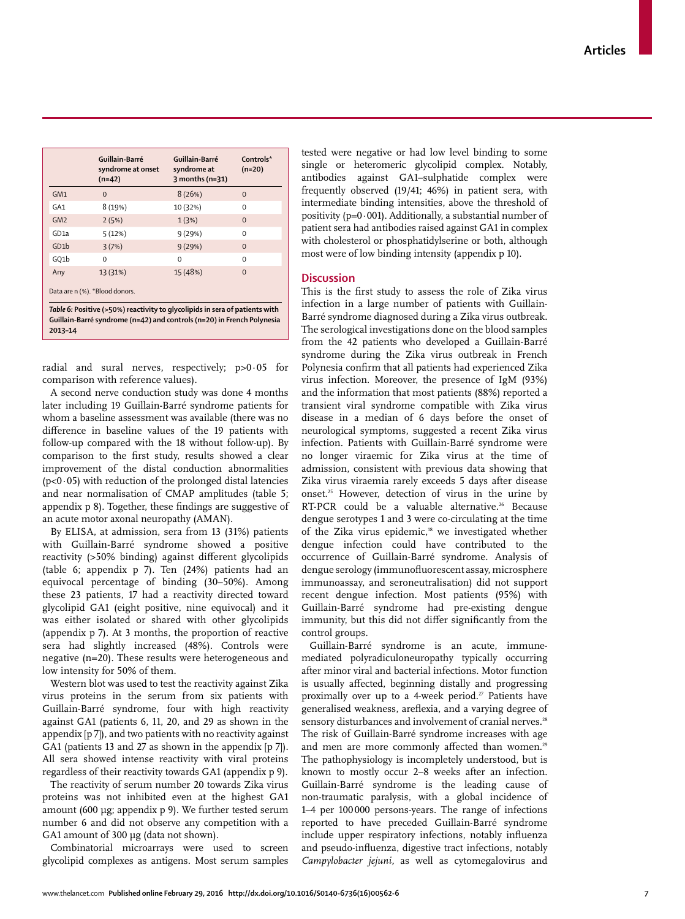|                   | Guillain-Barré<br>syndrome at onset<br>$(n=42)$ | Guillain-Barré<br>syndrome at<br>$3$ months (n= $31$ ) | Controls*<br>$(n=20)$ |
|-------------------|-------------------------------------------------|--------------------------------------------------------|-----------------------|
| GM1               | $\Omega$                                        | 8(26%)                                                 | $\Omega$              |
| GA <sub>1</sub>   | 8 (19%)                                         | 10 (32%)                                               | $\Omega$              |
| GM <sub>2</sub>   | 2(5%)                                           | 1(3%)                                                  | $\Omega$              |
| GD <sub>1a</sub>  | 5(12%)                                          | 9(29%)                                                 | $\Omega$              |
| GD <sub>1</sub> b | 3(7%)                                           | 9(29%)                                                 | $\Omega$              |
| GQ1b              | $\Omega$                                        | $\Omega$                                               | $\Omega$              |
| Any               | 13 (31%)                                        | 15 (48%)                                               | $\Omega$              |
|                   | Data are n (%). *Blood donors.                  |                                                        |                       |

*Table 6:* **Positive (>50%) reactivity to glycolipids in sera of patients with Guillain-Barré syndrome (n=42) and controls (n=20) in French Polynesia 2013–14**

radial and sural nerves, respectively;  $p > 0.05$  for comparison with reference values).

A second nerve conduction study was done 4 months later including 19 Guillain-Barré syndrome patients for whom a baseline assessment was available (there was no difference in baseline values of the 19 patients with follow-up compared with the 18 without follow-up). By comparison to the first study, results showed a clear improvement of the distal conduction abnormalities  $(p<0.05)$  with reduction of the prolonged distal latencies and near normalisation of CMAP amplitudes (table 5; appendix  $p \ge 8$ ). Together, these findings are suggestive of an acute motor axonal neuropathy (AMAN).

By ELISA, at admission, sera from 13 (31%) patients with Guillain-Barré syndrome showed a positive reactivity (>50% binding) against different glycolipids (table 6; appendix p 7). Ten (24%) patients had an equivocal percentage of binding (30–50%). Among these 23 patients, 17 had a reactivity directed toward glycolipid GA1 (eight positive, nine equivocal) and it was either isolated or shared with other glycolipids (appendix p 7). At 3 months, the proportion of reactive sera had slightly increased (48%). Controls were negative (n=20). These results were heterogeneous and low intensity for 50% of them.

Western blot was used to test the reactivity against Zika virus proteins in the serum from six patients with Guillain-Barré syndrome, four with high reactivity against GA1 (patients 6, 11, 20, and 29 as shown in the appendix [p 7]), and two patients with no reactivity against GA1 (patients 13 and 27 as shown in the appendix [p 7]). All sera showed intense reactivity with viral proteins regardless of their reactivity towards GA1 (appendix p 9).

The reactivity of serum number 20 towards Zika virus proteins was not inhibited even at the highest GA1 amount (600 μg; appendix p 9). We further tested serum number 6 and did not observe any competition with a GA1 amount of 300 μg (data not shown).

Combinatorial microarrays were used to screen glycolipid complexes as antigens. Most serum samples tested were negative or had low level binding to some single or heteromeric glycolipid complex. Notably, antibodies against GA1–sulphatide complex were frequently observed (19/41; 46%) in patient sera, with intermediate binding intensities, above the threshold of positivity ( $p=0.001$ ). Additionally, a substantial number of patient sera had antibodies raised against GA1 in complex with cholesterol or phosphatidylserine or both, although most were of low binding intensity (appendix p 10).

# **Discussion**

This is the first study to assess the role of Zika virus infection in a large number of patients with Guillain-Barré syndrome diagnosed during a Zika virus outbreak. The serological investigations done on the blood samples from the 42 patients who developed a Guillain-Barré syndrome during the Zika virus outbreak in French Polynesia confirm that all patients had experienced Zika virus infection. Moreover, the presence of IgM (93%) and the information that most patients (88%) reported a transient viral syndrome compatible with Zika virus disease in a median of 6 days before the onset of neurological symptoms, suggested a recent Zika virus infection. Patients with Guillain-Barré syndrome were no longer viraemic for Zika virus at the time of admission, consistent with previous data showing that Zika virus viraemia rarely exceeds 5 days after disease onset.25 However, detection of virus in the urine by RT-PCR could be a valuable alternative.<sup>26</sup> Because dengue serotypes 1 and 3 were co-circulating at the time of the Zika virus epidemic,18 we investigated whether dengue infection could have contributed to the occurrence of Guillain-Barré syndrome. Analysis of dengue serology (immunofluorescent assay, microsphere immunoassay, and seroneutralisation) did not support recent dengue infection. Most patients (95%) with Guillain-Barré syndrome had pre-existing dengue immunity, but this did not differ significantly from the control groups.

Guillain-Barré syndrome is an acute, immunemediated polyradiculoneuropathy typically occurring after minor viral and bacterial infections. Motor function is usually affected, beginning distally and progressing proximally over up to a 4-week period.<sup>27</sup> Patients have generalised weakness, areflexia, and a varying degree of sensory disturbances and involvement of cranial nerves.<sup>28</sup> The risk of Guillain-Barré syndrome increases with age and men are more commonly affected than women.<sup>29</sup> The pathophysiology is incompletely understood, but is known to mostly occur 2–8 weeks after an infection. Guillain-Barré syndrome is the leading cause of non-traumatic paralysis, with a global incidence of 1–4 per 100 000 persons-years. The range of infections reported to have preceded Guillain-Barré syndrome include upper respiratory infections, notably influenza and pseudo-influenza, digestive tract infections, notably *Campylobacter jejuni,* as well as cytomegalovirus and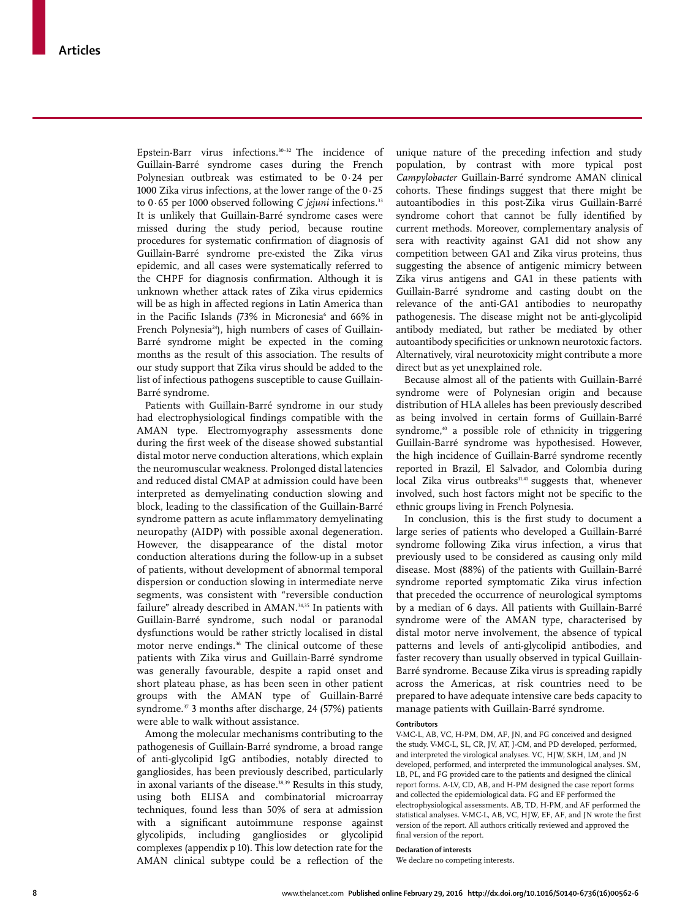Epstein-Barr virus infections.30–32 The incidence of Guillain-Barré syndrome cases during the French Polynesian outbreak was estimated to be 0·24 per 1000 Zika virus infections, at the lower range of the 0·25 to 0.65 per 1000 observed following *C* jejuni infections.<sup>33</sup> It is unlikely that Guillain-Barré syndrome cases were missed during the study period, because routine procedures for systematic confirmation of diagnosis of Guillain-Barré syndrome pre-existed the Zika virus epidemic, and all cases were systematically referred to the CHPF for diagnosis confirmation. Although it is unknown whether attack rates of Zika virus epidemics will be as high in affected regions in Latin America than in the Pacific Islands (73% in Micronesia $^{\circ}$  and 66% in French Polynesia24), high numbers of cases of Guillain-Barré syndrome might be expected in the coming months as the result of this association. The results of our study support that Zika virus should be added to the list of infectious pathogens susceptible to cause Guillain-Barré syndrome.

Patients with Guillain-Barré syndrome in our study had electrophysiological findings compatible with the AMAN type. Electromyography assessments done during the first week of the disease showed substantial distal motor nerve conduction alterations, which explain the neuromuscular weakness. Prolonged distal latencies and reduced distal CMAP at admission could have been interpreted as demyelinating conduction slowing and block, leading to the classification of the Guillain-Barré syndrome pattern as acute inflammatory demyelinating neuropathy (AIDP) with possible axonal degeneration. However, the disappearance of the distal motor conduction alterations during the follow-up in a subset of patients, without development of abnormal temporal dispersion or conduction slowing in intermediate nerve segments, was consistent with "reversible conduction failure" already described in AMAN.<sup>34,35</sup> In patients with Guillain-Barré syndrome, such nodal or paranodal dysfunctions would be rather strictly localised in distal motor nerve endings.<sup>36</sup> The clinical outcome of these patients with Zika virus and Guillain-Barré syndrome was generally favourable, despite a rapid onset and short plateau phase, as has been seen in other patient groups with the AMAN type of Guillain-Barré syndrome.<sup>37</sup> 3 months after discharge, 24 (57%) patients were able to walk without assistance.

Among the molecular mechanisms contributing to the pathogenesis of Guillain-Barré syndrome, a broad range of anti-glycolipid IgG antibodies, notably directed to gangliosides, has been previously described, particularly in axonal variants of the disease.<sup>38,39</sup> Results in this study, using both ELISA and combinatorial microarray techniques, found less than 50% of sera at admission with a significant autoimmune response against glycolipids, including gangliosides or glycolipid complexes (appendix p 10). This low detection rate for the AMAN clinical subtype could be a reflection of the unique nature of the preceding infection and study population, by contrast with more typical post *Campylobacter* Guillain-Barré syndrome AMAN clinical cohorts. These findings suggest that there might be autoantibodies in this post-Zika virus Guillain-Barré syndrome cohort that cannot be fully identified by current methods. Moreover, complementary analysis of sera with reactivity against GA1 did not show any competition between GA1 and Zika virus proteins, thus suggesting the absence of antigenic mimicry between Zika virus antigens and GA1 in these patients with Guillain-Barré syndrome and casting doubt on the relevance of the anti-GA1 antibodies to neuropathy pathogenesis. The disease might not be anti-glycolipid antibody mediated, but rather be mediated by other autoantibody specificities or unknown neurotoxic factors. Alternatively, viral neurotoxicity might contribute a more direct but as yet unexplained role.

Because almost all of the patients with Guillain-Barré syndrome were of Polynesian origin and because distribution of HLA alleles has been previously described as being involved in certain forms of Guillain-Barré syndrome,<sup>40</sup> a possible role of ethnicity in triggering Guillain-Barré syndrome was hypothesised. However, the high incidence of Guillain-Barré syndrome recently reported in Brazil, El Salvador, and Colombia during local Zika virus outbreaks $11,41$  suggests that, whenever involved, such host factors might not be specific to the ethnic groups living in French Polynesia.

In conclusion, this is the first study to document a large series of patients who developed a Guillain-Barré syndrome following Zika virus infection, a virus that previously used to be considered as causing only mild disease. Most (88%) of the patients with Guillain-Barré syndrome reported symptomatic Zika virus infection that preceded the occurrence of neurological symptoms by a median of 6 days. All patients with Guillain-Barré syndrome were of the AMAN type, characterised by distal motor nerve involvement, the absence of typical patterns and levels of anti-glycolipid antibodies, and faster recovery than usually observed in typical Guillain-Barré syndrome. Because Zika virus is spreading rapidly across the Americas, at risk countries need to be prepared to have adequate intensive care beds capacity to manage patients with Guillain-Barré syndrome.

### **Contributors**

V-MC-L, AB, VC, H-PM, DM, AF, JN, and FG conceived and designed the study. V-MC-L, SL, CR, JV, AT, J-CM, and PD developed, performed, and interpreted the virological analyses. VC, HJW, SKH, LM, and JN developed, performed, and interpreted the immunological analyses. SM, LB, PL, and FG provided care to the patients and designed the clinical report forms. A-LV, CD, AB, and H-PM designed the case report forms and collected the epidemiological data. FG and EF performed the electrophysiological assessments. AB, TD, H-PM, and AF performed the statistical analyses. V-MC-L, AB, VC, HJW, EF, AF, and JN wrote the first version of the report. All authors critically reviewed and approved the final version of the report.

#### **Declaration of interests**

We declare no competing interests.